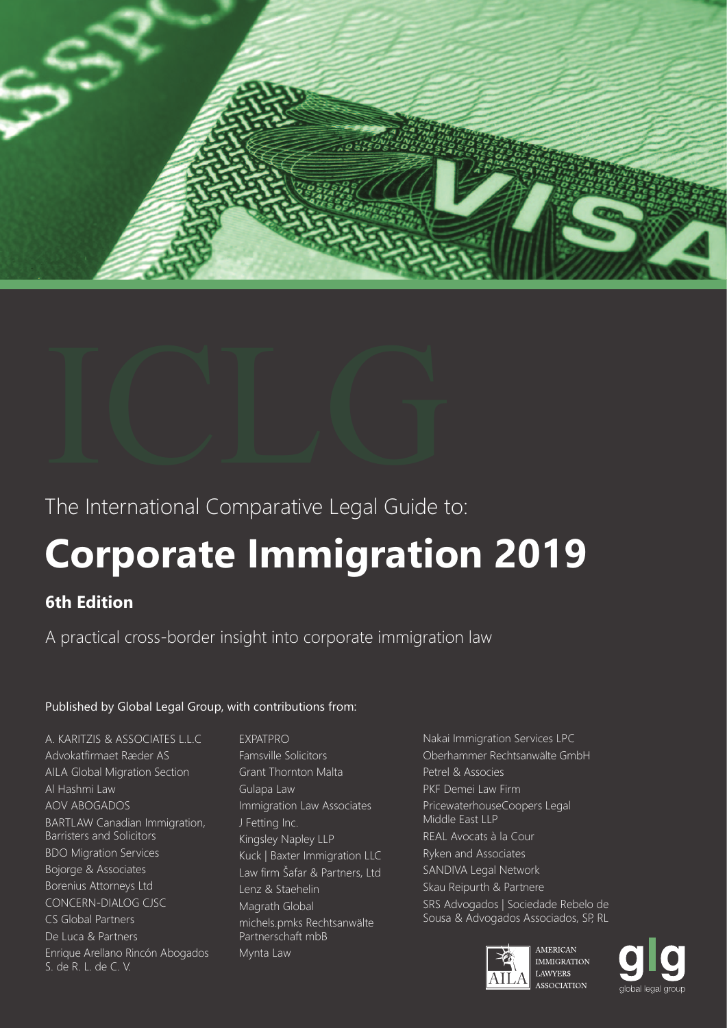



## The International Comparative Legal Guide to:

## **Corporate Immigration 2019**

## **6th Edition**

A practical cross-border insight into corporate immigration law

## Published by Global Legal Group, with contributions from:

A. KARITZIS & ASSOCIATES L.L.C Advokatfirmaet Ræder AS AILA Global Migration Section Al Hashmi Law AOV ABOGADOS BARTLAW Canadian Immigration, Barristers and Solicitors BDO Migration Services Bojorge & Associates Borenius Attorneys Ltd CONCERN-DIALOG CJSC CS Global Partners De Luca & Partners Enrique Arellano Rincón Abogados S. de R. L. de C. V.

EXPATPRO Famsville Solicitors Grant Thornton Malta Gulapa Law Immigration Law Associates J Fetting Inc. Kingsley Napley LLP Kuck | Baxter Immigration LLC Law firm Šafar & Partners, Ltd Lenz & Staehelin Magrath Global michels.pmks Rechtsanwälte Partnerschaft mbB Mynta Law

Nakai Immigration Services LPC Oberhammer Rechtsanwälte GmbH Petrel & Associes PKF Demei Law Firm PricewaterhouseCoopers Legal Middle East LLP REAL Avocats à la Cour Ryken and Associates SANDIVA Legal Network Skau Reipurth & Partnere SRS Advogados | Sociedade Rebelo de Sousa & Advogados Associados, SP, RL



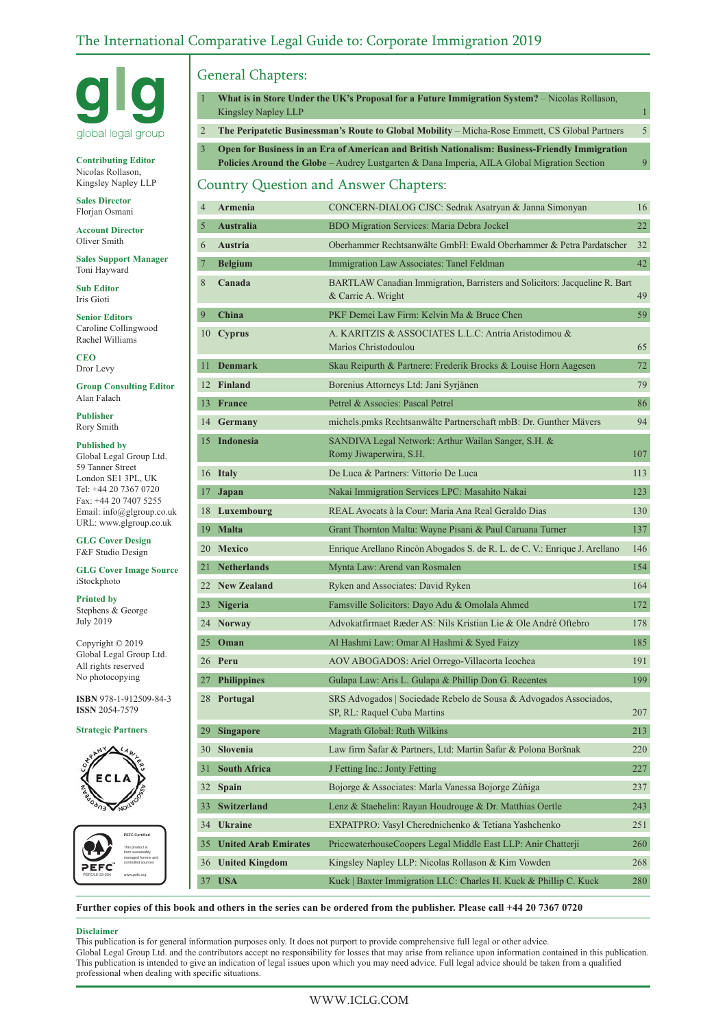

**Contributing Editor** Nicolas Rollason, Kingsley Napley LLP

**Sales Director** Florjan Osmani

**Account Director** Oliver Smith

**Sales Support Manager** Toni Hayward

I

I

I

**Sub Editor** Iris Gioti

**Senior Editors** Caroline Collingwood Rachel Williams

**CEO** Dror Levy

**Group Consulting Editor** Alan Falach

**Publisher** Rory Smith

#### **Published by**

Global Legal Group Ltd. 59 Tanner Street London SE1 3PL, UK Tel: +44 20 7367 0720 Fax: +44 20 7407 5255 Email: info@glgroup.co.uk URL: www.glgroup.co.uk

**GLG Cover Design** F&F Studio Design

**GLG Cover Image Source** iStockphoto

**Printed by**

Stephens & George July 2019

Copyright © 2019 Global Legal Group Ltd. All rights reserved No photocopying

**ISBN** 978-1-912509-84-3 **ISSN** 2054-7579

**Strategic Partners**





#### General Chapters:

1 **What is in Store Under the UK's Proposal for a Future Immigration System?** – Nicolas Rollason, Kingsley Napley LLP 1 2 **The Peripatetic Businessman's Route to Global Mobility** – Micha-Rose Emmett, CS Global Partners 5

3 **Open for Business in an Era of American and British Nationalism: Business-Friendly Immigration**

**Policies Around the Globe** – Audrey Lustgarten & Dana Imperia, AILA Global Migration Section 9

#### Country Question and Answer Chapters:

| 4  | Armenia                     | CONCERN-DIALOG CJSC: Sedrak Asatryan & Janna Simonyan                                             | 16  |
|----|-----------------------------|---------------------------------------------------------------------------------------------------|-----|
| 5  | <b>Australia</b>            | BDO Migration Services: Maria Debra Jockel                                                        | 22  |
| 6  | Austria                     | Oberhammer Rechtsanwälte GmbH: Ewald Oberhammer & Petra Pardatscher                               | 32  |
| 7  | <b>Belgium</b>              | Immigration Law Associates: Tanel Feldman                                                         | 42  |
| 8  | Canada                      | BARTLAW Canadian Immigration, Barristers and Solicitors: Jacqueline R. Bart<br>& Carrie A. Wright | 49  |
| 9  | China                       | PKF Demei Law Firm: Kelvin Ma & Bruce Chen                                                        | 59  |
| 10 | <b>Cyprus</b>               | A. KARITZIS & ASSOCIATES L.L.C: Antria Aristodimou &<br>Marios Christodoulou                      | 65  |
| 11 | <b>Denmark</b>              | Skau Reipurth & Partnere: Frederik Brocks & Louise Horn Aagesen                                   | 72  |
|    | 12 Finland                  | Borenius Attorneys Ltd: Jani Syrjänen                                                             | 79  |
| 13 | France                      | Petrel & Associes: Pascal Petrel                                                                  | 86  |
| 14 | Germany                     | michels.pmks Rechtsanwälte Partnerschaft mbB: Dr. Gunther Mävers                                  | 94  |
|    | 15 Indonesia                | SANDIVA Legal Network: Arthur Wailan Sanger, S.H. &<br>Romy Jiwaperwira, S.H.                     | 107 |
|    | 16 Italy                    | De Luca & Partners: Vittorio De Luca                                                              | 113 |
| 17 | Japan                       | Nakai Immigration Services LPC: Masahito Nakai                                                    | 123 |
|    | 18 Luxembourg               | REAL Avocats à la Cour: Maria Ana Real Geraldo Dias                                               | 130 |
|    | 19 Malta                    | Grant Thornton Malta: Wayne Pisani & Paul Caruana Turner                                          | 137 |
|    | 20 Mexico                   | Enrique Arellano Rincón Abogados S. de R. L. de C. V.: Enrique J. Arellano                        | 146 |
| 21 | <b>Netherlands</b>          | Mynta Law: Arend van Rosmalen                                                                     | 154 |
| 22 | <b>New Zealand</b>          | Ryken and Associates: David Ryken                                                                 | 164 |
| 23 | <b>Nigeria</b>              | Famsville Solicitors: Dayo Adu & Omolala Ahmed                                                    | 172 |
|    | 24 Norway                   | Advokatfirmaet Ræder AS: Nils Kristian Lie & Ole André Oftebro                                    | 178 |
|    | $25$ Oman                   | Al Hashmi Law: Omar Al Hashmi & Syed Faizy                                                        | 185 |
|    | 26 Peru                     | AOV ABOGADOS: Ariel Orrego-Villacorta Icochea                                                     | 191 |
|    | 27 Philippines              | Gulapa Law: Aris L. Gulapa & Phillip Don G. Recentes                                              | 199 |
|    | 28 Portugal                 | SRS Advogados   Sociedade Rebelo de Sousa & Advogados Associados,<br>SP, RL: Raquel Cuba Martins  | 207 |
| 29 | <b>Singapore</b>            | Magrath Global: Ruth Wilkins                                                                      | 213 |
| 30 | <b>Slovenia</b>             | Law firm Šafar & Partners, Ltd: Martin Šafar & Polona Boršnak                                     | 220 |
| 31 | <b>South Africa</b>         | J Fetting Inc.: Jonty Fetting                                                                     | 227 |
| 32 | <b>Spain</b>                | Bojorge & Associates: Marla Vanessa Bojorge Zúñiga                                                | 237 |
| 33 | Switzerland                 | Lenz & Staehelin: Rayan Houdrouge & Dr. Matthias Oertle                                           | 243 |
| 34 | <b>Ukraine</b>              | EXPATPRO: Vasyl Cherednichenko & Tetiana Yashchenko                                               | 251 |
| 35 | <b>United Arab Emirates</b> | PricewaterhouseCoopers Legal Middle East LLP: Anir Chatterji                                      | 260 |
| 36 | <b>United Kingdom</b>       | Kingsley Napley LLP: Nicolas Rollason & Kim Vowden                                                | 268 |
| 37 | <b>USA</b>                  | Kuck   Baxter Immigration LLC: Charles H. Kuck & Phillip C. Kuck                                  | 280 |
|    |                             |                                                                                                   |     |

**Further copies of this book and others in the series can be ordered from the publisher. Please call +44 20 7367 0720**

#### **Disclaimer**

This publication is for general information purposes only. It does not purport to provide comprehensive full legal or other advice. Global Legal Group Ltd. and the contributors accept no responsibility for losses that may arise from reliance upon information contained in this publication. This publication is intended to give an indication of legal issues upon which you may need advice. Full legal advice should be taken from a qualified professional when dealing with specific situations.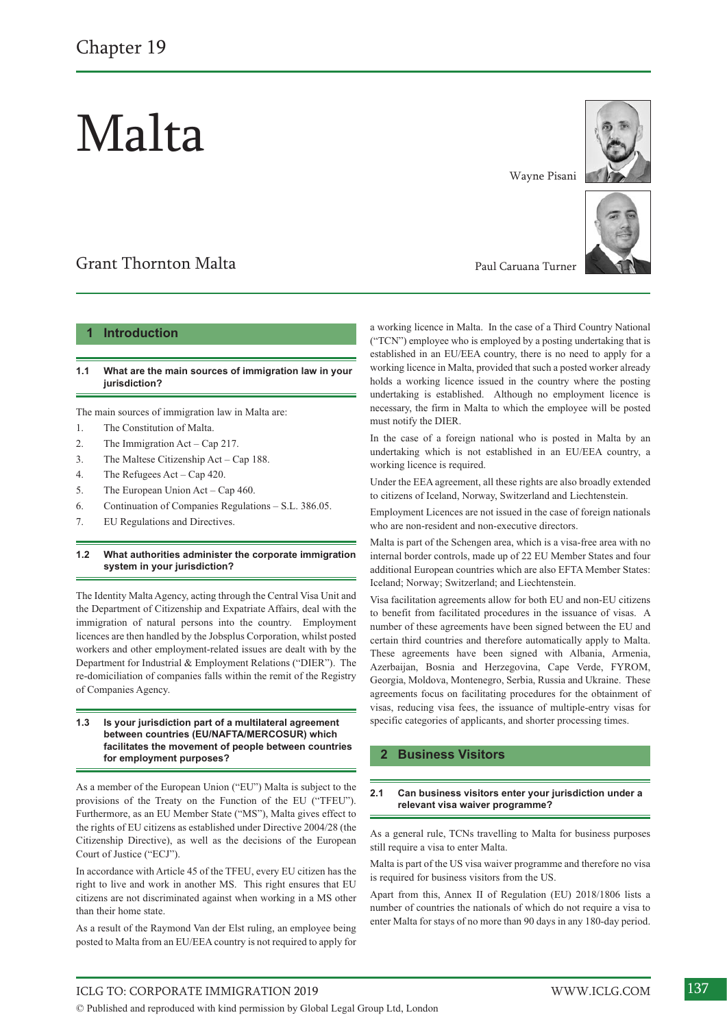# Malta

## Grant Thornton Malta

#### **1 Introduction**

#### **1.1 What are the main sources of immigration law in your jurisdiction?**

The main sources of immigration law in Malta are:

- 1. The Constitution of Malta.
- 2. The Immigration Act Cap 217.
- 3. The Maltese Citizenship Act Cap 188.
- 4. The Refugees Act Cap 420.
- 5. The European Union Act Cap 460.
- 6. Continuation of Companies Regulations S.L. 386.05.
- 7. EU Regulations and Directives.

#### **1.2 What authorities administer the corporate immigration system in your jurisdiction?**

The Identity Malta Agency, acting through the Central Visa Unit and the Department of Citizenship and Expatriate Affairs, deal with the immigration of natural persons into the country. Employment licences are then handled by the Jobsplus Corporation, whilst posted workers and other employment-related issues are dealt with by the Department for Industrial & Employment Relations ("DIER"). The re-domiciliation of companies falls within the remit of the Registry of Companies Agency.

#### **1.3 Is your jurisdiction part of a multilateral agreement between countries (EU/NAFTA/MERCOSUR) which facilitates the movement of people between countries for employment purposes?**

As a member of the European Union ("EU") Malta is subject to the provisions of the Treaty on the Function of the EU ("TFEU"). Furthermore, as an EU Member State ("MS"), Malta gives effect to the rights of EU citizens as established under Directive 2004/28 (the Citizenship Directive), as well as the decisions of the European Court of Justice ("ECJ").

In accordance with Article 45 of the TFEU, every EU citizen has the right to live and work in another MS. This right ensures that EU citizens are not discriminated against when working in a MS other than their home state.

As a result of the Raymond Van der Elst ruling, an employee being posted to Malta from an EU/EEA country is not required to apply for Wayne Pisani





Paul Caruana Turner

a working licence in Malta. In the case of a Third Country National ("TCN") employee who is employed by a posting undertaking that is established in an EU/EEA country, there is no need to apply for a working licence in Malta, provided that such a posted worker already holds a working licence issued in the country where the posting undertaking is established. Although no employment licence is necessary, the firm in Malta to which the employee will be posted must notify the DIER.

In the case of a foreign national who is posted in Malta by an undertaking which is not established in an EU/EEA country, a working licence is required.

Under the EEA agreement, all these rights are also broadly extended to citizens of Iceland, Norway, Switzerland and Liechtenstein.

Employment Licences are not issued in the case of foreign nationals who are non-resident and non-executive directors.

Malta is part of the Schengen area, which is a visa-free area with no internal border controls, made up of 22 EU Member States and four additional European countries which are also EFTA Member States: Iceland; Norway; Switzerland; and Liechtenstein.

Visa facilitation agreements allow for both EU and non-EU citizens to benefit from facilitated procedures in the issuance of visas. A number of these agreements have been signed between the EU and certain third countries and therefore automatically apply to Malta. These agreements have been signed with Albania, Armenia, Azerbaijan, Bosnia and Herzegovina, Cape Verde, FYROM, Georgia, Moldova, Montenegro, Serbia, Russia and Ukraine. These agreements focus on facilitating procedures for the obtainment of visas, reducing visa fees, the issuance of multiple-entry visas for specific categories of applicants, and shorter processing times.

#### **2 Business Visitors**

#### **2.1 Can business visitors enter your jurisdiction under a relevant visa waiver programme?**

As a general rule, TCNs travelling to Malta for business purposes still require a visa to enter Malta.

Malta is part of the US visa waiver programme and therefore no visa is required for business visitors from the US.

Apart from this, Annex II of Regulation (EU) 2018/1806 lists a number of countries the nationals of which do not require a visa to enter Malta for stays of no more than 90 days in any 180-day period.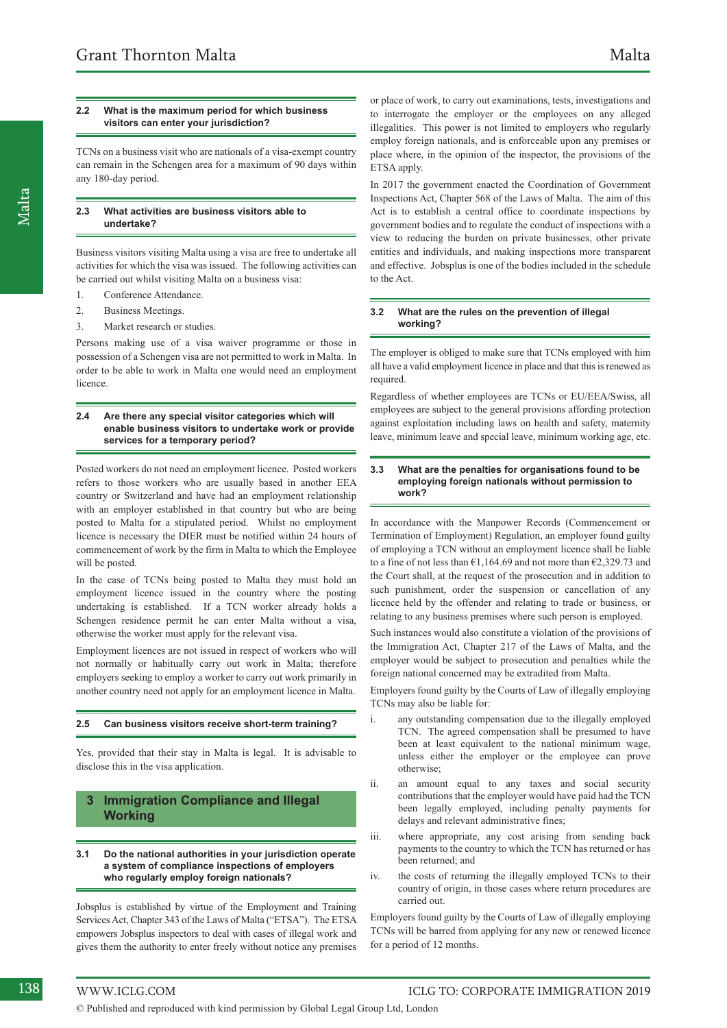TCNs on a business visit who are nationals of a visa-exempt country can remain in the Schengen area for a maximum of 90 days within any 180-day period.

#### **2.3 What activities are business visitors able to undertake?**

Business visitors visiting Malta using a visa are free to undertake all activities for which the visa was issued. The following activities can be carried out whilst visiting Malta on a business visa:

- 1. Conference Attendance.
- 2. Business Meetings.
- 3. Market research or studies.

Persons making use of a visa waiver programme or those in possession of a Schengen visa are not permitted to work in Malta. In order to be able to work in Malta one would need an employment licence.

#### **2.4 Are there any special visitor categories which will enable business visitors to undertake work or provide services for a temporary period?**

Posted workers do not need an employment licence. Posted workers refers to those workers who are usually based in another EEA country or Switzerland and have had an employment relationship with an employer established in that country but who are being posted to Malta for a stipulated period. Whilst no employment licence is necessary the DIER must be notified within 24 hours of commencement of work by the firm in Malta to which the Employee will be posted.

In the case of TCNs being posted to Malta they must hold an employment licence issued in the country where the posting undertaking is established. If a TCN worker already holds a Schengen residence permit he can enter Malta without a visa, otherwise the worker must apply for the relevant visa.

Employment licences are not issued in respect of workers who will not normally or habitually carry out work in Malta; therefore employers seeking to employ a worker to carry out work primarily in another country need not apply for an employment licence in Malta.

#### **2.5 Can business visitors receive short-term training?**

Yes, provided that their stay in Malta is legal. It is advisable to disclose this in the visa application.

#### **3 Immigration Compliance and Illegal Working**

#### **3.1 Do the national authorities in your jurisdiction operate a system of compliance inspections of employers who regularly employ foreign nationals?**

Jobsplus is established by virtue of the Employment and Training Services Act, Chapter 343 of the Laws of Malta ("ETSA"). The ETSA empowers Jobsplus inspectors to deal with cases of illegal work and gives them the authority to enter freely without notice any premises

or place of work, to carry out examinations, tests, investigations and to interrogate the employer or the employees on any alleged illegalities. This power is not limited to employers who regularly employ foreign nationals, and is enforceable upon any premises or place where, in the opinion of the inspector, the provisions of the ETSA apply.

In 2017 the government enacted the Coordination of Government Inspections Act, Chapter 568 of the Laws of Malta. The aim of this Act is to establish a central office to coordinate inspections by government bodies and to regulate the conduct of inspections with a view to reducing the burden on private businesses, other private entities and individuals, and making inspections more transparent and effective. Jobsplus is one of the bodies included in the schedule to the Act.

#### **3.2 What are the rules on the prevention of illegal working?**

The employer is obliged to make sure that TCNs employed with him all have a valid employment licence in place and that this is renewed as required.

Regardless of whether employees are TCNs or EU/EEA/Swiss, all employees are subject to the general provisions affording protection against exploitation including laws on health and safety, maternity leave, minimum leave and special leave, minimum working age, etc.

#### **3.3 What are the penalties for organisations found to be employing foreign nationals without permission to work?**

In accordance with the Manpower Records (Commencement or Termination of Employment) Regulation, an employer found guilty of employing a TCN without an employment licence shall be liable to a fine of not less than  $\epsilon$ 1,164.69 and not more than  $\epsilon$ 2,329.73 and the Court shall, at the request of the prosecution and in addition to such punishment, order the suspension or cancellation of any licence held by the offender and relating to trade or business, or relating to any business premises where such person is employed.

Such instances would also constitute a violation of the provisions of the Immigration Act, Chapter 217 of the Laws of Malta, and the employer would be subject to prosecution and penalties while the foreign national concerned may be extradited from Malta.

Employers found guilty by the Courts of Law of illegally employing TCNs may also be liable for:

- i. any outstanding compensation due to the illegally employed TCN. The agreed compensation shall be presumed to have been at least equivalent to the national minimum wage, unless either the employer or the employee can prove otherwise;
- ii. an amount equal to any taxes and social security contributions that the employer would have paid had the TCN been legally employed, including penalty payments for delays and relevant administrative fines;
- iii. where appropriate, any cost arising from sending back payments to the country to which the TCN has returned or has been returned; and
- iv. the costs of returning the illegally employed TCNs to their country of origin, in those cases where return procedures are carried out.

Employers found guilty by the Courts of Law of illegally employing TCNs will be barred from applying for any new or renewed licence for a period of 12 months.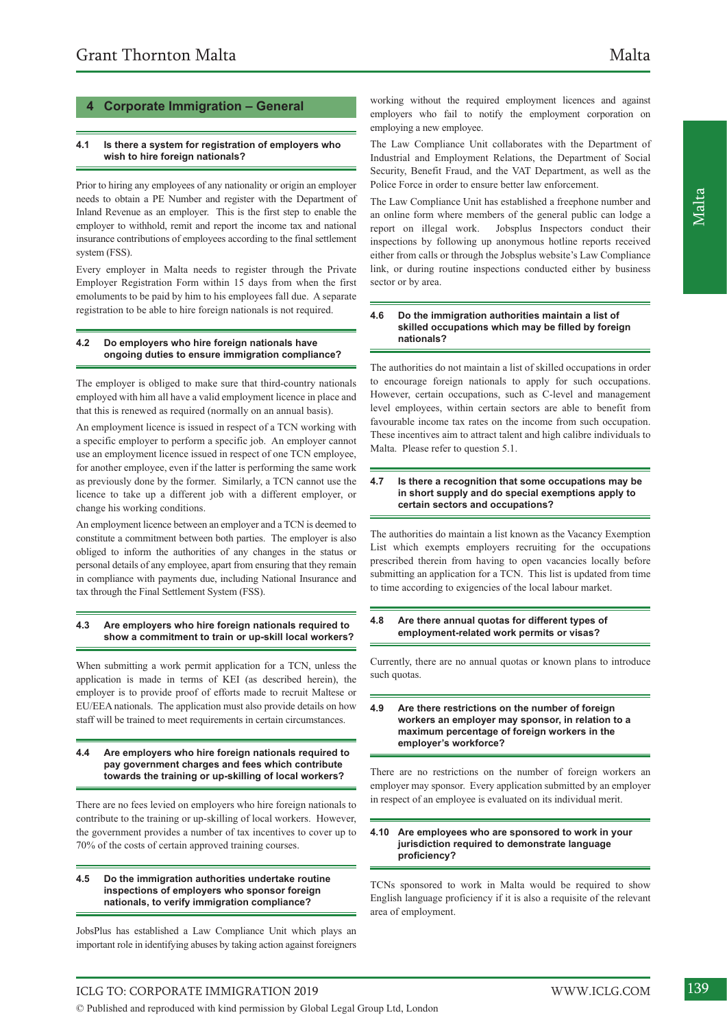#### **4 Corporate Immigration – General**

#### **4.1 Is there a system for registration of employers who wish to hire foreign nationals?**

Prior to hiring any employees of any nationality or origin an employer needs to obtain a PE Number and register with the Department of Inland Revenue as an employer. This is the first step to enable the employer to withhold, remit and report the income tax and national insurance contributions of employees according to the final settlement system (FSS).

Every employer in Malta needs to register through the Private Employer Registration Form within 15 days from when the first emoluments to be paid by him to his employees fall due. A separate registration to be able to hire foreign nationals is not required.

#### **4.2 Do employers who hire foreign nationals have ongoing duties to ensure immigration compliance?**

The employer is obliged to make sure that third-country nationals employed with him all have a valid employment licence in place and that this is renewed as required (normally on an annual basis).

An employment licence is issued in respect of a TCN working with a specific employer to perform a specific job. An employer cannot use an employment licence issued in respect of one TCN employee, for another employee, even if the latter is performing the same work as previously done by the former. Similarly, a TCN cannot use the licence to take up a different job with a different employer, or change his working conditions.

An employment licence between an employer and a TCN is deemed to constitute a commitment between both parties. The employer is also obliged to inform the authorities of any changes in the status or personal details of any employee, apart from ensuring that they remain in compliance with payments due, including National Insurance and tax through the Final Settlement System (FSS).

#### **4.3 Are employers who hire foreign nationals required to show a commitment to train or up-skill local workers?**

When submitting a work permit application for a TCN, unless the application is made in terms of KEI (as described herein), the employer is to provide proof of efforts made to recruit Maltese or EU/EEA nationals. The application must also provide details on how staff will be trained to meet requirements in certain circumstances.

#### **4.4 Are employers who hire foreign nationals required to pay government charges and fees which contribute towards the training or up-skilling of local workers?**

There are no fees levied on employers who hire foreign nationals to contribute to the training or up-skilling of local workers. However, the government provides a number of tax incentives to cover up to 70% of the costs of certain approved training courses.

#### **4.5 Do the immigration authorities undertake routine inspections of employers who sponsor foreign nationals, to verify immigration compliance?**

JobsPlus has established a Law Compliance Unit which plays an important role in identifying abuses by taking action against foreigners

working without the required employment licences and against employers who fail to notify the employment corporation on employing a new employee.

The Law Compliance Unit collaborates with the Department of Industrial and Employment Relations, the Department of Social Security, Benefit Fraud, and the VAT Department, as well as the Police Force in order to ensure better law enforcement.

The Law Compliance Unit has established a freephone number and an online form where members of the general public can lodge a report on illegal work. Jobsplus Inspectors conduct their inspections by following up anonymous hotline reports received either from calls or through the Jobsplus website's Law Compliance link, or during routine inspections conducted either by business sector or by area.

#### **4.6 Do the immigration authorities maintain a list of skilled occupations which may be filled by foreign nationals?**

The authorities do not maintain a list of skilled occupations in order to encourage foreign nationals to apply for such occupations. However, certain occupations, such as C-level and management level employees, within certain sectors are able to benefit from favourable income tax rates on the income from such occupation. These incentives aim to attract talent and high calibre individuals to Malta. Please refer to question 5.1.

#### **4.7 Is there a recognition that some occupations may be in short supply and do special exemptions apply to certain sectors and occupations?**

The authorities do maintain a list known as the Vacancy Exemption List which exempts employers recruiting for the occupations prescribed therein from having to open vacancies locally before submitting an application for a TCN. This list is updated from time to time according to exigencies of the local labour market.

#### **4.8 Are there annual quotas for different types of employment-related work permits or visas?**

Currently, there are no annual quotas or known plans to introduce such quotas.

#### **4.9 Are there restrictions on the number of foreign workers an employer may sponsor, in relation to a maximum percentage of foreign workers in the employer's workforce?**

There are no restrictions on the number of foreign workers an employer may sponsor. Every application submitted by an employer in respect of an employee is evaluated on its individual merit.

#### **4.10 Are employees who are sponsored to work in your jurisdiction required to demonstrate language proficiency?**

TCNs sponsored to work in Malta would be required to show English language proficiency if it is also a requisite of the relevant area of employment.

ICLG TO: CORPORATE IMMIGRATION 2019 WWW.ICLG.COM 139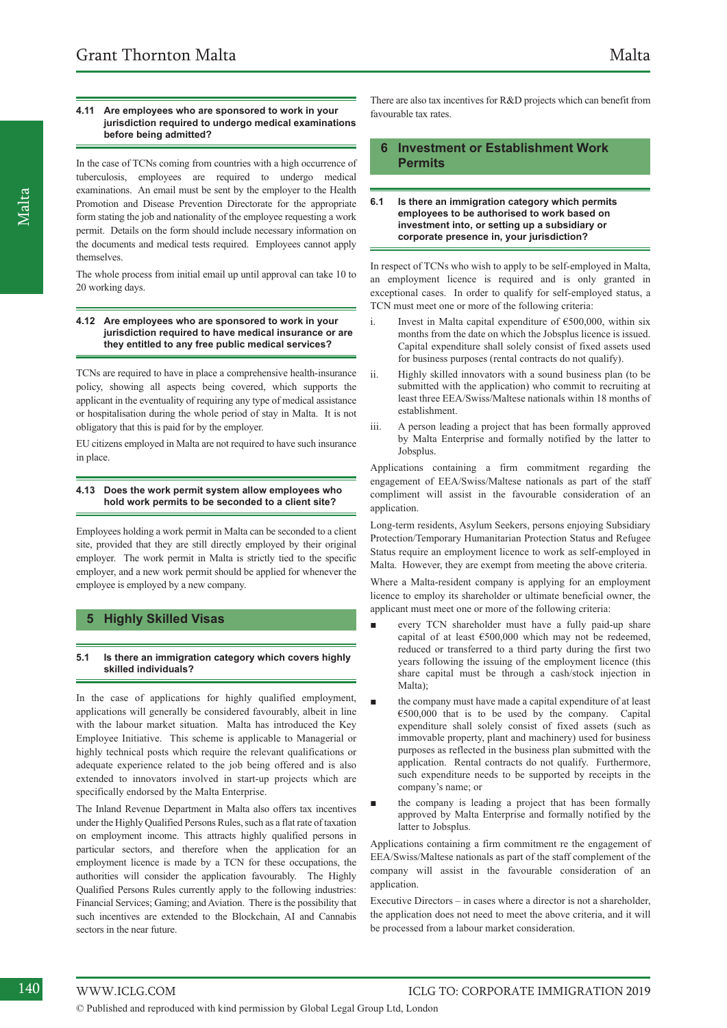#### **4.11 Are employees who are sponsored to work in your jurisdiction required to undergo medical examinations before being admitted?**

In the case of TCNs coming from countries with a high occurrence of tuberculosis, employees are required to undergo medical examinations. An email must be sent by the employer to the Health Promotion and Disease Prevention Directorate for the appropriate form stating the job and nationality of the employee requesting a work permit. Details on the form should include necessary information on the documents and medical tests required. Employees cannot apply themselves.

The whole process from initial email up until approval can take 10 to 20 working days.

#### **4.12 Are employees who are sponsored to work in your jurisdiction required to have medical insurance or are they entitled to any free public medical services?**

TCNs are required to have in place a comprehensive health-insurance policy, showing all aspects being covered, which supports the applicant in the eventuality of requiring any type of medical assistance or hospitalisation during the whole period of stay in Malta. It is not obligatory that this is paid for by the employer.

EU citizens employed in Malta are not required to have such insurance in place.

#### **4.13 Does the work permit system allow employees who hold work permits to be seconded to a client site?**

Employees holding a work permit in Malta can be seconded to a client site, provided that they are still directly employed by their original employer. The work permit in Malta is strictly tied to the specific employer, and a new work permit should be applied for whenever the employee is employed by a new company.

#### **5 Highly Skilled Visas**

#### **5.1 Is there an immigration category which covers highly skilled individuals?**

In the case of applications for highly qualified employment, applications will generally be considered favourably, albeit in line with the labour market situation. Malta has introduced the Key Employee Initiative. This scheme is applicable to Managerial or highly technical posts which require the relevant qualifications or adequate experience related to the job being offered and is also extended to innovators involved in start-up projects which are specifically endorsed by the Malta Enterprise.

The Inland Revenue Department in Malta also offers tax incentives under the Highly Qualified Persons Rules, such as a flat rate of taxation on employment income. This attracts highly qualified persons in particular sectors, and therefore when the application for an employment licence is made by a TCN for these occupations, the authorities will consider the application favourably. The Highly Qualified Persons Rules currently apply to the following industries: Financial Services; Gaming; and Aviation. There is the possibility that such incentives are extended to the Blockchain, AI and Cannabis sectors in the near future.

There are also tax incentives for R&D projects which can benefit from favourable tax rates.

#### **6 Investment or Establishment Work Permits**

#### **6.1 Is there an immigration category which permits employees to be authorised to work based on investment into, or setting up a subsidiary or corporate presence in, your jurisdiction?**

In respect of TCNs who wish to apply to be self-employed in Malta, an employment licence is required and is only granted in exceptional cases. In order to qualify for self-employed status, a TCN must meet one or more of the following criteria:

- i. Invest in Malta capital expenditure of  $\epsilon$ 500,000, within six months from the date on which the Jobsplus licence is issued. Capital expenditure shall solely consist of fixed assets used for business purposes (rental contracts do not qualify).
- ii. Highly skilled innovators with a sound business plan (to be submitted with the application) who commit to recruiting at least three EEA/Swiss/Maltese nationals within 18 months of establishment.
- iii. A person leading a project that has been formally approved by Malta Enterprise and formally notified by the latter to Jobsplus.

Applications containing a firm commitment regarding the engagement of EEA/Swiss/Maltese nationals as part of the staff compliment will assist in the favourable consideration of an application.

Long-term residents, Asylum Seekers, persons enjoying Subsidiary Protection/Temporary Humanitarian Protection Status and Refugee Status require an employment licence to work as self-employed in Malta. However, they are exempt from meeting the above criteria.

Where a Malta-resident company is applying for an employment licence to employ its shareholder or ultimate beneficial owner, the applicant must meet one or more of the following criteria:

- every TCN shareholder must have a fully paid-up share capital of at least  $€500,000$  which may not be redeemed, reduced or transferred to a third party during the first two years following the issuing of the employment licence (this share capital must be through a cash/stock injection in Malta);
- the company must have made a capital expenditure of at least €500,000 that is to be used by the company. Capital expenditure shall solely consist of fixed assets (such as immovable property, plant and machinery) used for business purposes as reflected in the business plan submitted with the application. Rental contracts do not qualify. Furthermore, such expenditure needs to be supported by receipts in the company's name; or
- the company is leading a project that has been formally approved by Malta Enterprise and formally notified by the latter to Jobsplus.

Applications containing a firm commitment re the engagement of EEA/Swiss/Maltese nationals as part of the staff complement of the company will assist in the favourable consideration of an application.

Executive Directors – in cases where a director is not a shareholder, the application does not need to meet the above criteria, and it will be processed from a labour market consideration.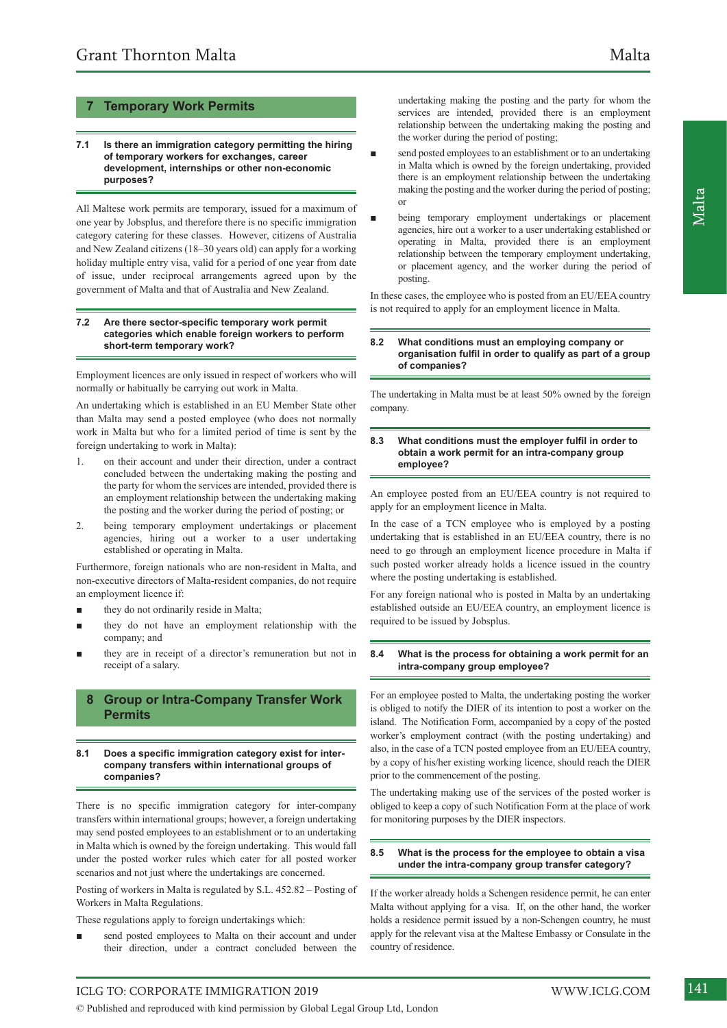#### **7.1 Is there an immigration category permitting the hiring of temporary workers for exchanges, career development, internships or other non-economic purposes?**

All Maltese work permits are temporary, issued for a maximum of one year by Jobsplus, and therefore there is no specific immigration category catering for these classes. However, citizens of Australia and New Zealand citizens (18–30 years old) can apply for a working holiday multiple entry visa, valid for a period of one year from date of issue, under reciprocal arrangements agreed upon by the government of Malta and that of Australia and New Zealand.

#### **7.2 Are there sector-specific temporary work permit categories which enable foreign workers to perform short-term temporary work?**

Employment licences are only issued in respect of workers who will normally or habitually be carrying out work in Malta.

An undertaking which is established in an EU Member State other than Malta may send a posted employee (who does not normally work in Malta but who for a limited period of time is sent by the foreign undertaking to work in Malta):

- 1. on their account and under their direction, under a contract concluded between the undertaking making the posting and the party for whom the services are intended, provided there is an employment relationship between the undertaking making the posting and the worker during the period of posting; or
- 2. being temporary employment undertakings or placement agencies, hiring out a worker to a user undertaking established or operating in Malta.

Furthermore, foreign nationals who are non-resident in Malta, and non-executive directors of Malta-resident companies, do not require an employment licence if:

- they do not ordinarily reside in Malta;
- they do not have an employment relationship with the company; and
- they are in receipt of a director's remuneration but not in receipt of a salary.

#### **8 Group or Intra-Company Transfer Work Permits**

#### **8.1 Does a specific immigration category exist for intercompany transfers within international groups of companies?**

There is no specific immigration category for inter-company transfers within international groups; however, a foreign undertaking may send posted employees to an establishment or to an undertaking in Malta which is owned by the foreign undertaking. This would fall under the posted worker rules which cater for all posted worker scenarios and not just where the undertakings are concerned.

Posting of workers in Malta is regulated by S.L. 452.82 – Posting of Workers in Malta Regulations.

These regulations apply to foreign undertakings which:

send posted employees to Malta on their account and under their direction, under a contract concluded between the undertaking making the posting and the party for whom the services are intended, provided there is an employment relationship between the undertaking making the posting and the worker during the period of posting;

- send posted employees to an establishment or to an undertaking in Malta which is owned by the foreign undertaking, provided there is an employment relationship between the undertaking making the posting and the worker during the period of posting; or
- being temporary employment undertakings or placement agencies, hire out a worker to a user undertaking established or operating in Malta, provided there is an employment relationship between the temporary employment undertaking, or placement agency, and the worker during the period of posting.

In these cases, the employee who is posted from an EU/EEA country is not required to apply for an employment licence in Malta.

#### **8.2 What conditions must an employing company or organisation fulfil in order to qualify as part of a group of companies?**

The undertaking in Malta must be at least 50% owned by the foreign company.

#### **8.3 What conditions must the employer fulfil in order to obtain a work permit for an intra-company group employee?**

An employee posted from an EU/EEA country is not required to apply for an employment licence in Malta.

In the case of a TCN employee who is employed by a posting undertaking that is established in an EU/EEA country, there is no need to go through an employment licence procedure in Malta if such posted worker already holds a licence issued in the country where the posting undertaking is established.

For any foreign national who is posted in Malta by an undertaking established outside an EU/EEA country, an employment licence is required to be issued by Jobsplus.

#### **8.4 What is the process for obtaining a work permit for an intra-company group employee?**

For an employee posted to Malta, the undertaking posting the worker is obliged to notify the DIER of its intention to post a worker on the island. The Notification Form, accompanied by a copy of the posted worker's employment contract (with the posting undertaking) and also, in the case of a TCN posted employee from an EU/EEA country, by a copy of his/her existing working licence, should reach the DIER prior to the commencement of the posting.

The undertaking making use of the services of the posted worker is obliged to keep a copy of such Notification Form at the place of work for monitoring purposes by the DIER inspectors.

#### **8.5 What is the process for the employee to obtain a visa under the intra-company group transfer category?**

If the worker already holds a Schengen residence permit, he can enter Malta without applying for a visa. If, on the other hand, the worker holds a residence permit issued by a non-Schengen country, he must apply for the relevant visa at the Maltese Embassy or Consulate in the country of residence.

ICLG TO: CORPORATE IMMIGRATION 2019 WWW.ICLG.COM 141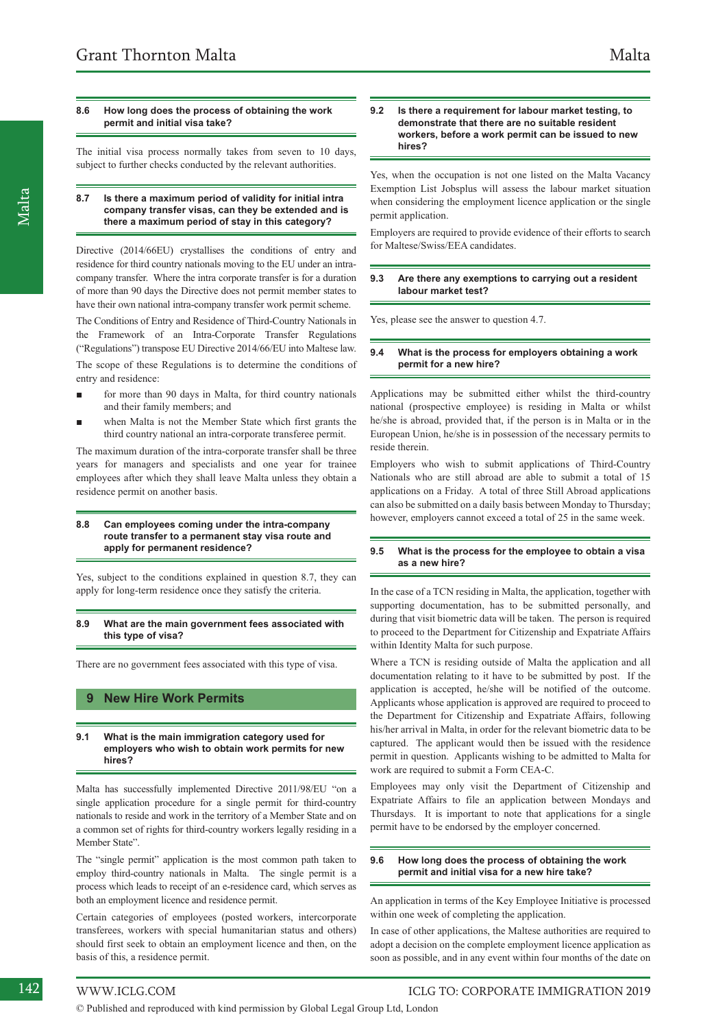#### **8.6 How long does the process of obtaining the work permit and initial visa take?**

The initial visa process normally takes from seven to 10 days, subject to further checks conducted by the relevant authorities.

#### **8.7 Is there a maximum period of validity for initial intra company transfer visas, can they be extended and is there a maximum period of stay in this category?**

Directive (2014/66EU) crystallises the conditions of entry and residence for third country nationals moving to the EU under an intracompany transfer. Where the intra corporate transfer is for a duration of more than 90 days the Directive does not permit member states to have their own national intra-company transfer work permit scheme.

The Conditions of Entry and Residence of Third-Country Nationals in the Framework of an Intra-Corporate Transfer Regulations ("Regulations") transpose EU Directive 2014/66/EU into Maltese law.

The scope of these Regulations is to determine the conditions of entry and residence:

- for more than 90 days in Malta, for third country nationals and their family members; and
- when Malta is not the Member State which first grants the third country national an intra-corporate transferee permit.

The maximum duration of the intra-corporate transfer shall be three years for managers and specialists and one year for trainee employees after which they shall leave Malta unless they obtain a residence permit on another basis.

#### **8.8 Can employees coming under the intra-company route transfer to a permanent stay visa route and apply for permanent residence?**

Yes, subject to the conditions explained in question 8.7, they can apply for long-term residence once they satisfy the criteria.

#### **8.9 What are the main government fees associated with this type of visa?**

There are no government fees associated with this type of visa.

#### **9 New Hire Work Permits**

#### **9.1 What is the main immigration category used for employers who wish to obtain work permits for new hires?**

Malta has successfully implemented Directive 2011/98/EU "on a single application procedure for a single permit for third-country nationals to reside and work in the territory of a Member State and on a common set of rights for third-country workers legally residing in a Member State".

The "single permit" application is the most common path taken to employ third-country nationals in Malta. The single permit is a process which leads to receipt of an e-residence card, which serves as both an employment licence and residence permit.

Certain categories of employees (posted workers, intercorporate transferees, workers with special humanitarian status and others) should first seek to obtain an employment licence and then, on the basis of this, a residence permit.

#### **9.2 Is there a requirement for labour market testing, to demonstrate that there are no suitable resident workers, before a work permit can be issued to new hires?**

Yes, when the occupation is not one listed on the Malta Vacancy Exemption List Jobsplus will assess the labour market situation when considering the employment licence application or the single permit application.

Employers are required to provide evidence of their efforts to search for Maltese/Swiss/EEA candidates.

#### **9.3 Are there any exemptions to carrying out a resident labour market test?**

Yes, please see the answer to question 4.7.

#### **9.4 What is the process for employers obtaining a work permit for a new hire?**

Applications may be submitted either whilst the third-country national (prospective employee) is residing in Malta or whilst he/she is abroad, provided that, if the person is in Malta or in the European Union, he/she is in possession of the necessary permits to reside therein.

Employers who wish to submit applications of Third-Country Nationals who are still abroad are able to submit a total of 15 applications on a Friday. A total of three Still Abroad applications can also be submitted on a daily basis between Monday to Thursday; however, employers cannot exceed a total of 25 in the same week.

#### **9.5 What is the process for the employee to obtain a visa as a new hire?**

In the case of a TCN residing in Malta, the application, together with supporting documentation, has to be submitted personally, and during that visit biometric data will be taken. The person is required to proceed to the Department for Citizenship and Expatriate Affairs within Identity Malta for such purpose.

Where a TCN is residing outside of Malta the application and all documentation relating to it have to be submitted by post. If the application is accepted, he/she will be notified of the outcome. Applicants whose application is approved are required to proceed to the Department for Citizenship and Expatriate Affairs, following his/her arrival in Malta, in order for the relevant biometric data to be captured. The applicant would then be issued with the residence permit in question. Applicants wishing to be admitted to Malta for work are required to submit a Form CEA-C.

Employees may only visit the Department of Citizenship and Expatriate Affairs to file an application between Mondays and Thursdays. It is important to note that applications for a single permit have to be endorsed by the employer concerned.

#### **9.6 How long does the process of obtaining the work permit and initial visa for a new hire take?**

An application in terms of the Key Employee Initiative is processed within one week of completing the application.

In case of other applications, the Maltese authorities are required to adopt a decision on the complete employment licence application as soon as possible, and in any event within four months of the date on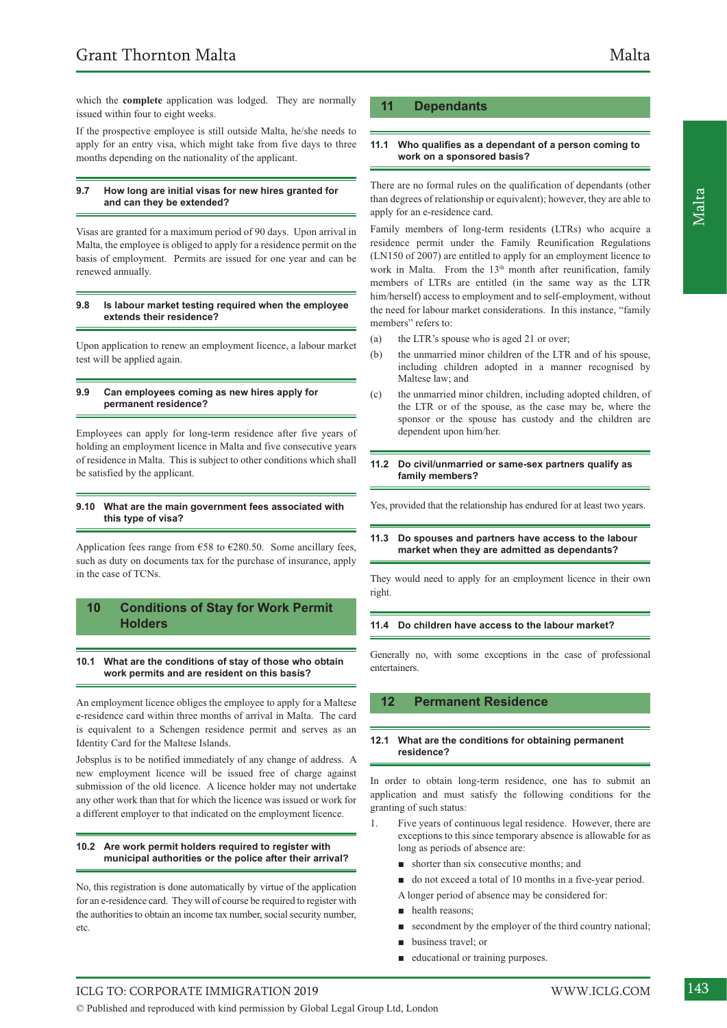which the **complete** application was lodged. They are normally issued within four to eight weeks.

If the prospective employee is still outside Malta, he/she needs to apply for an entry visa, which might take from five days to three months depending on the nationality of the applicant.

#### **9.7 How long are initial visas for new hires granted for and can they be extended?**

Visas are granted for a maximum period of 90 days. Upon arrival in Malta, the employee is obliged to apply for a residence permit on the basis of employment. Permits are issued for one year and can be renewed annually.

#### **9.8 Is labour market testing required when the employee extends their residence?**

Upon application to renew an employment licence, a labour market test will be applied again.

#### **9.9 Can employees coming as new hires apply for permanent residence?**

Employees can apply for long-term residence after five years of holding an employment licence in Malta and five consecutive years of residence in Malta. This is subject to other conditions which shall be satisfied by the applicant.

#### **9.10 What are the main government fees associated with this type of visa?**

Application fees range from  $658$  to  $6280.50$ . Some ancillary fees, such as duty on documents tax for the purchase of insurance, apply in the case of TCNs.

#### **10 Conditions of Stay for Work Permit Holders**

#### **10.1 What are the conditions of stay of those who obtain work permits and are resident on this basis?**

An employment licence obliges the employee to apply for a Maltese e-residence card within three months of arrival in Malta. The card is equivalent to a Schengen residence permit and serves as an Identity Card for the Maltese Islands.

Jobsplus is to be notified immediately of any change of address. A new employment licence will be issued free of charge against submission of the old licence. A licence holder may not undertake any other work than that for which the licence was issued or work for a different employer to that indicated on the employment licence.

#### **10.2 Are work permit holders required to register with municipal authorities or the police after their arrival?**

No, this registration is done automatically by virtue of the application for an e-residence card. They will of course be required to register with the authorities to obtain an income tax number, social security number, etc.

#### **11 Dependants**

#### **11.1 Who qualifies as a dependant of a person coming to work on a sponsored basis?**

There are no formal rules on the qualification of dependants (other than degrees of relationship or equivalent); however, they are able to apply for an e-residence card.

Family members of long-term residents (LTRs) who acquire a residence permit under the Family Reunification Regulations (LN150 of 2007) are entitled to apply for an employment licence to work in Malta. From the  $13<sup>th</sup>$  month after reunification, family members of LTRs are entitled (in the same way as the LTR him/herself) access to employment and to self-employment, without the need for labour market considerations. In this instance, "family members" refers to:

- (a) the LTR's spouse who is aged 21 or over;
- (b) the unmarried minor children of the LTR and of his spouse, including children adopted in a manner recognised by Maltese law; and
- (c) the unmarried minor children, including adopted children, of the LTR or of the spouse, as the case may be, where the sponsor or the spouse has custody and the children are dependent upon him/her.

#### **11.2 Do civil/unmarried or same-sex partners qualify as family members?**

Yes, provided that the relationship has endured for at least two years.

#### **11.3 Do spouses and partners have access to the labour market when they are admitted as dependants?**

They would need to apply for an employment licence in their own right.

#### **11.4 Do children have access to the labour market?**

Generally no, with some exceptions in the case of professional entertainers.

#### **12 Permanent Residence**

#### **12.1 What are the conditions for obtaining permanent residence?**

In order to obtain long-term residence, one has to submit an application and must satisfy the following conditions for the granting of such status:

- 1. Five years of continuous legal residence. However, there are exceptions to this since temporary absence is allowable for as long as periods of absence are:
	- shorter than six consecutive months; and
	- do not exceed a total of 10 months in a five-year period.
	- A longer period of absence may be considered for:
	- health reasons:
	- secondment by the employer of the third country national;
	- business travel; or
	- educational or training purposes.

## ICLG TO: CORPORATE IMMIGRATION 2019 WWW.ICLG.COM 143

© Published and reproduced with kind permission by Global Legal Group Ltd, London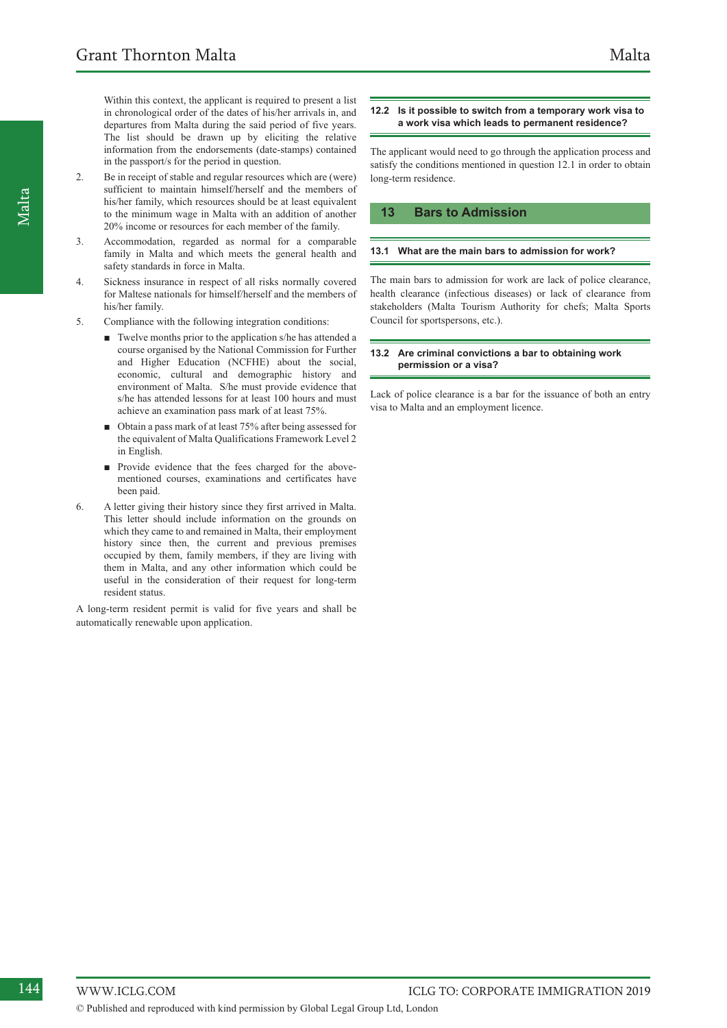Within this context, the applicant is required to present a list in chronological order of the dates of his/her arrivals in, and departures from Malta during the said period of five years. The list should be drawn up by eliciting the relative information from the endorsements (date-stamps) contained in the passport/s for the period in question.

- 2. Be in receipt of stable and regular resources which are (were) sufficient to maintain himself/herself and the members of his/her family, which resources should be at least equivalent to the minimum wage in Malta with an addition of another 20% income or resources for each member of the family.
- 3. Accommodation, regarded as normal for a comparable family in Malta and which meets the general health and safety standards in force in Malta.
- 4. Sickness insurance in respect of all risks normally covered for Maltese nationals for himself/herself and the members of his/her family.
- 5. Compliance with the following integration conditions:
	- Twelve months prior to the application s/he has attended a course organised by the National Commission for Further and Higher Education (NCFHE) about the social, economic, cultural and demographic history and environment of Malta. S/he must provide evidence that s/he has attended lessons for at least 100 hours and must achieve an examination pass mark of at least 75%.
	- Obtain a pass mark of at least 75% after being assessed for the equivalent of Malta Qualifications Framework Level 2 in English.
	- Provide evidence that the fees charged for the abovementioned courses, examinations and certificates have been paid.
- 6. A letter giving their history since they first arrived in Malta. This letter should include information on the grounds on which they came to and remained in Malta, their employment history since then, the current and previous premises occupied by them, family members, if they are living with them in Malta, and any other information which could be useful in the consideration of their request for long-term resident status.

A long-term resident permit is valid for five years and shall be automatically renewable upon application.

#### **12.2 Is it possible to switch from a temporary work visa to a work visa which leads to permanent residence?**

The applicant would need to go through the application process and satisfy the conditions mentioned in question 12.1 in order to obtain long-term residence.

#### **13 Bars to Admission**

#### **13.1 What are the main bars to admission for work?**

The main bars to admission for work are lack of police clearance, health clearance (infectious diseases) or lack of clearance from stakeholders (Malta Tourism Authority for chefs; Malta Sports Council for sportspersons, etc.).

#### **13.2 Are criminal convictions a bar to obtaining work permission or a visa?**

Lack of police clearance is a bar for the issuance of both an entry visa to Malta and an employment licence.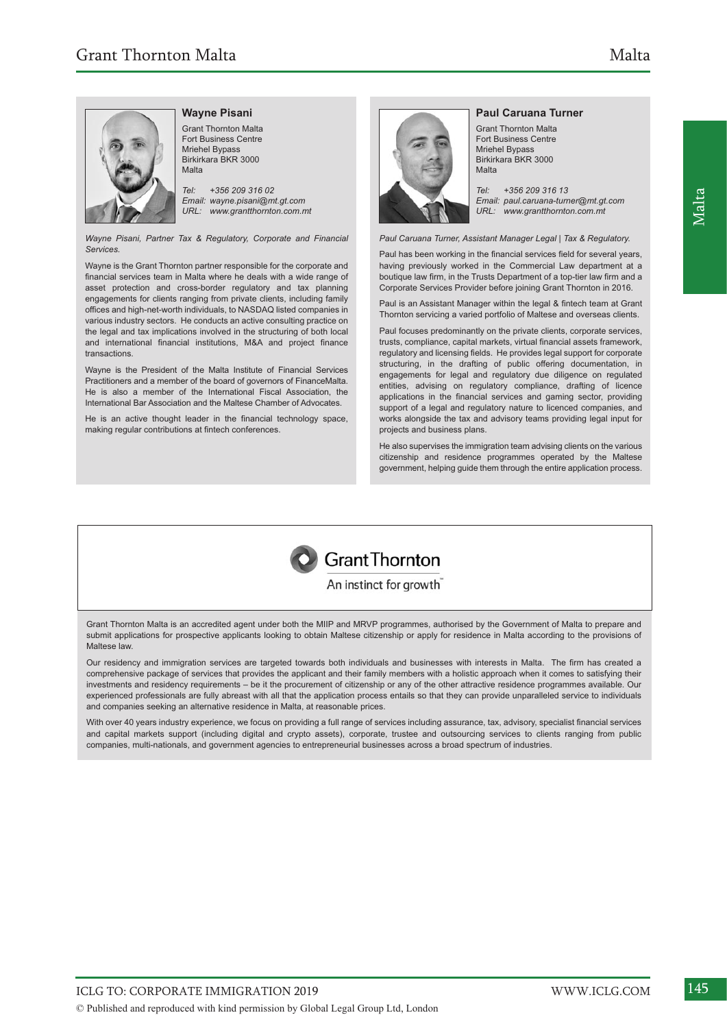

## **Wayne Pisani**

Grant Thornton Malta Fort Business Centre Mriehel Bypass Birkirkara BKR 3000 Malta

*Tel: +356 209 316 02 Email: wayne.pisani@mt.gt.com URL: www.grantthornton.com.mt*

*Wayne Pisani, Partner Tax & Regulatory, Corporate and Financial Services.*

Wayne is the Grant Thornton partner responsible for the corporate and financial services team in Malta where he deals with a wide range of asset protection and cross-border regulatory and tax planning engagements for clients ranging from private clients, including family offices and high-net-worth individuals, to NASDAQ listed companies in various industry sectors. He conducts an active consulting practice on the legal and tax implications involved in the structuring of both local and international financial institutions, M&A and project finance transactions.

Wayne is the President of the Malta Institute of Financial Services Practitioners and a member of the board of governors of FinanceMalta. He is also a member of the International Fiscal Association, the International Bar Association and the Maltese Chamber of Advocates.

He is an active thought leader in the financial technology space, making regular contributions at fintech conferences.



#### **Paul Caruana Turner**

Grant Thornton Malta Fort Business Centre Mriehel Bypass Birkirkara BKR 3000 Malta

*Tel: +356 209 316 13 Email: paul.caruana-turner@mt.gt.com URL: www.grantthornton.com.mt*

*Paul Caruana Turner, Assistant Manager Legal | Tax & Regulatory.*

Paul has been working in the financial services field for several years, having previously worked in the Commercial Law department at a boutique law firm, in the Trusts Department of a top-tier law firm and a Corporate Services Provider before joining Grant Thornton in 2016.

Paul is an Assistant Manager within the legal & fintech team at Grant Thornton servicing a varied portfolio of Maltese and overseas clients.

Paul focuses predominantly on the private clients, corporate services, trusts, compliance, capital markets, virtual financial assets framework, regulatory and licensing fields. He provides legal support for corporate structuring, in the drafting of public offering documentation, in engagements for legal and regulatory due diligence on regulated entities, advising on regulatory compliance, drafting of licence applications in the financial services and gaming sector, providing support of a legal and regulatory nature to licenced companies, and works alongside the tax and advisory teams providing legal input for projects and business plans.

He also supervises the immigration team advising clients on the various citizenship and residence programmes operated by the Maltese government, helping guide them through the entire application process.



#### An instinct for growth

Grant Thornton Malta is an accredited agent under both the MIIP and MRVP programmes, authorised by the Government of Malta to prepare and submit applications for prospective applicants looking to obtain Maltese citizenship or apply for residence in Malta according to the provisions of Maltese law.

Our residency and immigration services are targeted towards both individuals and businesses with interests in Malta. The firm has created a comprehensive package of services that provides the applicant and their family members with a holistic approach when it comes to satisfying their investments and residency requirements – be it the procurement of citizenship or any of the other attractive residence programmes available. Our experienced professionals are fully abreast with all that the application process entails so that they can provide unparalleled service to individuals and companies seeking an alternative residence in Malta, at reasonable prices.

With over 40 years industry experience, we focus on providing a full range of services including assurance, tax, advisory, specialist financial services and capital markets support (including digital and crypto assets), corporate, trustee and outsourcing services to clients ranging from public companies, multi-nationals, and government agencies to entrepreneurial businesses across a broad spectrum of industries.